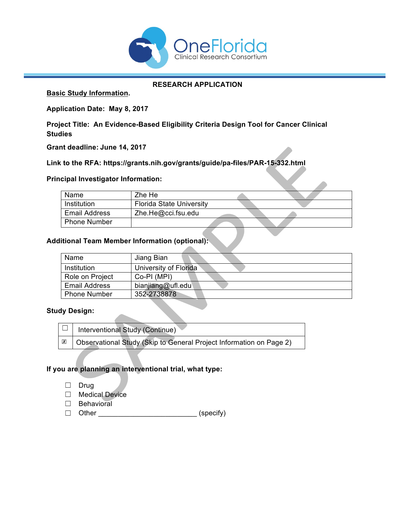

#### **RESEARCH APPLICATION**

**Basic Study Information.**

**Application Date: May 8, 2017**

**Project Title: An Evidence-Based Eligibility Criteria Design Tool for Cancer Clinical Studies**

**Grant deadline: June 14, 2017**

**Link to the RFA: https://grants.nih.gov/grants/guide/pa-files/PAR-15-332.html**

#### **Principal Investigator Information:**

| Name                 | Zhe He                          |  |
|----------------------|---------------------------------|--|
| Institution          | <b>Florida State University</b> |  |
| <b>Email Address</b> | Zhe.He@cci.fsu.edu              |  |
| <b>Phone Number</b>  |                                 |  |

# **Additional Team Member Information (optional):**

| Name                 | Jiang Bian            |
|----------------------|-----------------------|
| Institution          | University of Florida |
| Role on Project      | Co-PI (MPI)           |
| <b>Email Address</b> | bianjiang@ufl.edu     |
| <b>Phone Number</b>  | 352-2738878           |

## **Study Design:**

| $\Box$ Interventional Study (Continue)                                             |
|------------------------------------------------------------------------------------|
| $\mathbb{Z}$   Observational Study (Skip to General Project Information on Page 2) |

## **If you are planning an interventional trial, what type:**

- ☐ Drug
- ☐ Medical Device
- □ Behavioral
- ☐ Other \_\_\_\_\_\_\_\_\_\_\_\_\_\_\_\_\_\_\_\_\_\_\_\_\_ (specify)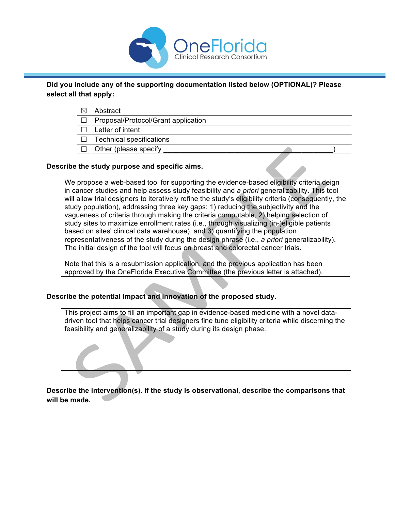

# **Did you include any of the supporting documentation listed below (OPTIONAL)? Please select all that apply:**

| ⋉ | Abstract                            |
|---|-------------------------------------|
|   | Proposal/Protocol/Grant application |
|   | Letter of intent                    |
|   | <b>Technical specifications</b>     |
|   | Other (please specify               |
|   |                                     |

## **Describe the study purpose and specific aims.**

We propose a web-based tool for supporting the evidence-based eligibility criteria deign in cancer studies and help assess study feasibility and *a priori* generalizability. This tool will allow trial designers to iteratively refine the study's eligibility criteria (consequently, the study population), addressing three key gaps: 1) reducing the subjectivity and the vagueness of criteria through making the criteria computable, 2) helping selection of study sites to maximize enrollment rates (i.e., through visualizing (in-)eligible patients based on sites' clinical data warehouse), and 3) quantifying the population representativeness of the study during the design phrase (i.e., *a priori* generalizability). The initial design of the tool will focus on breast and colorectal cancer trials.

Note that this is a resubmission application, and the previous application has been approved by the OneFlorida Executive Committee (the previous letter is attached).

## **Describe the potential impact and innovation of the proposed study.**

This project aims to fill an important gap in evidence-based medicine with a novel datadriven tool that helps cancer trial designers fine tune eligibility criteria while discerning the feasibility and generalizability of a study during its design phase.

**Describe the intervention(s). If the study is observational, describe the comparisons that will be made.**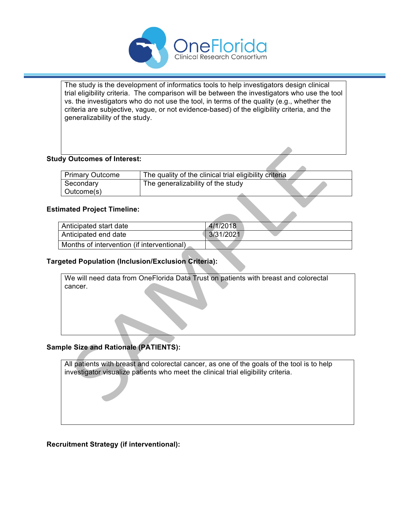

The study is the development of informatics tools to help investigators design clinical trial eligibility criteria. The comparison will be between the investigators who use the tool vs. the investigators who do not use the tool, in terms of the quality (e.g., whether the criteria are subjective, vague, or not evidence-based) of the eligibility criteria, and the generalizability of the study.

## **Study Outcomes of Interest:**

| <b>Primary Outcome</b> | The quality of the clinical trial eligibility criteria |
|------------------------|--------------------------------------------------------|
| Secondary              | The generalizability of the study                      |
| Outcome(s)             |                                                        |

#### **Estimated Project Timeline:**

| Anticipated start date                     | 4/1/2018  |
|--------------------------------------------|-----------|
| Anticipated end date                       | 3/31/2021 |
| Months of intervention (if interventional) |           |

## **Targeted Population (Inclusion/Exclusion Criteria):**

We will need data from OneFlorida Data Trust on patients with breast and colorectal cancer.

## **Sample Size and Rationale (PATIENTS):**

All patients with breast and colorectal cancer, as one of the goals of the tool is to help investigator visualize patients who meet the clinical trial eligibility criteria.

**Recruitment Strategy (if interventional):**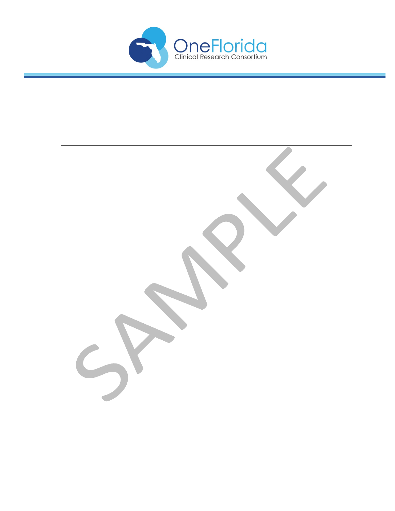

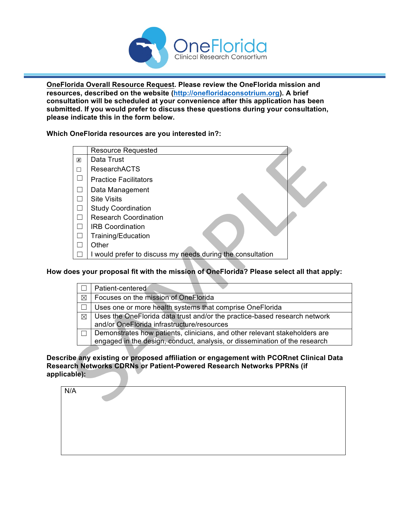

**OneFlorida Overall Resource Request. Please review the OneFlorida mission and resources, described on the website [\(http://onefloridaconsotrium.org](http://onefloridaconsotrium.org)). A brief consultation will be scheduled at your convenience after this application has been submitted. If you would prefer to discuss these questions during your consultation, please indicate this in the form below.** 

**Which OneFlorida resources are you interested in?:**

|                | <b>Resource Requested</b>                                |
|----------------|----------------------------------------------------------|
| $\overline{x}$ | Data Trust                                               |
| П              | <b>ResearchACTS</b>                                      |
|                | <b>Practice Facilitators</b>                             |
|                | Data Management                                          |
|                | <b>Site Visits</b>                                       |
|                | <b>Study Coordination</b>                                |
|                | <b>Research Coordination</b>                             |
|                | <b>IRB Coordination</b>                                  |
|                | Training/Education                                       |
|                | Other                                                    |
|                | would prefer to discuss my needs during the consultation |

**How does your proposal fit with the mission of OneFlorida? Please select all that apply:**

|             | Patient-centered                                                           |
|-------------|----------------------------------------------------------------------------|
| ⊠           | Focuses on the mission of OneFlorida                                       |
|             | Uses one or more health systems that comprise OneFlorida                   |
| $\boxtimes$ | Uses the OneFlorida data trust and/or the practice-based research network  |
|             | and/or OneFlorida infrastructure/resources                                 |
|             | Demonstrates how patients, clinicians, and other relevant stakeholders are |
|             | engaged in the design, conduct, analysis, or dissemination of the research |
|             |                                                                            |

**Describe any existing or proposed affiliation or engagement with PCORnet Clinical Data Research Networks CDRNs or Patient-Powered Research Networks PPRNs (if applicable):**

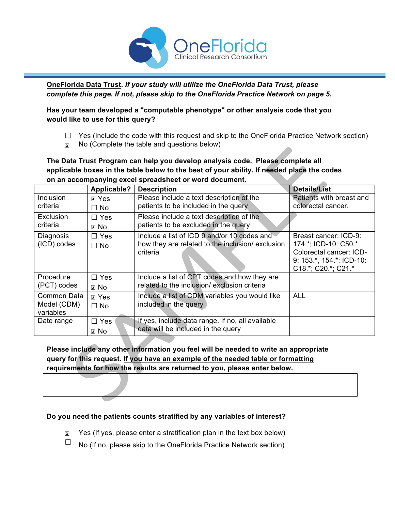

**OneFlorida Data Trust.** *If your study will utilize the OneFlorida Data Trust, please complete this page. If not, please skip to the OneFlorida Practice Network on page 5.*

**Has your team developed a "computable phenotype" or other analysis code that you would like to use for this query?**

- $\Box$  Yes (Include the code with this request and skip to the OneFlorida Practice Network section)
- $\mathbb{Z}$  No (Complete the table and questions below)

**The Data Trust Program can help you develop analysis code. Please complete all applicable boxes in the table below to the best of your ability. If needed place the codes on an accompanying excel spreadsheet or word document.** 

|                  | Applicable?  | <b>Description</b>                               | <b>Details/List</b>      |
|------------------|--------------|--------------------------------------------------|--------------------------|
| <b>Inclusion</b> | <b>Z</b> Yes | Please include a text description of the         | Patients with breast and |
| criteria         | $\Box$ No    | patients to be included in the query             | colorectal cancer.       |
| Exclusion        | $\Box$ Yes   | Please include a text description of the         |                          |
| criteria         | $X$ No       | patients to be excluded in the query             |                          |
| Diagnosis        | $\Box$ Yes   | Include a list of ICD 9 and/or 10 codes and      | Breast cancer: ICD-9:    |
| (ICD) codes      | $\Box$ No    | how they are related to the inclusion/exclusion  | 174.*; ICD-10: C50.*     |
|                  |              | criteria                                         | Colorectal cancer: ICD-  |
|                  |              |                                                  | 9: 153.*, 154.*; ICD-10: |
|                  |              |                                                  | C18.*; C20.*; C21.*      |
| Procedure        | $\Box$ Yes   | Include a list of CPT codes and how they are     |                          |
| (PCT) codes      | $X$ No       | related to the inclusion/exclusion criteria      |                          |
| Common Data      | $X$ Yes      | Include a list of CDM variables you would like   | <b>ALL</b>               |
| Model (CDM)      | $\Box$ No    | included in the query                            |                          |
| variables        |              |                                                  |                          |
| Date range       | $\Box$ Yes   | If yes, include data range. If no, all available |                          |
|                  | $X$ No       | data will be included in the query               |                          |

**Please include any other information you feel will be needed to write an appropriate query for this request. If you have an example of the needed table or formatting requirements for how the results are returned to you, please enter below.**

## **Do you need the patients counts stratified by any variables of interest?**

- $\boxtimes$  Yes (If yes, please enter a stratification plan in the text box below)
- $\Box$  No (If no, please skip to the OneFlorida Practice Network section)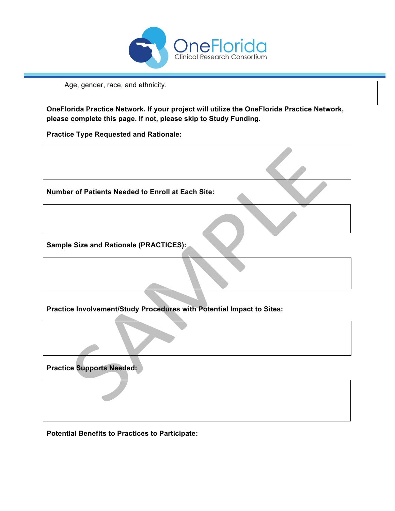

Age, gender, race, and ethnicity.

**OneFlorida Practice Network. If your project will utilize the OneFlorida Practice Network, please complete this page. If not, please skip to Study Funding.**

**Practice Type Requested and Rationale:**

**Number of Patients Needed to Enroll at Each Site:**

**Sample Size and Rationale (PRACTICES):**

**Practice Involvement/Study Procedures with Potential Impact to Sites:**

**Practice Supports Needed:**

**Potential Benefits to Practices to Participate:**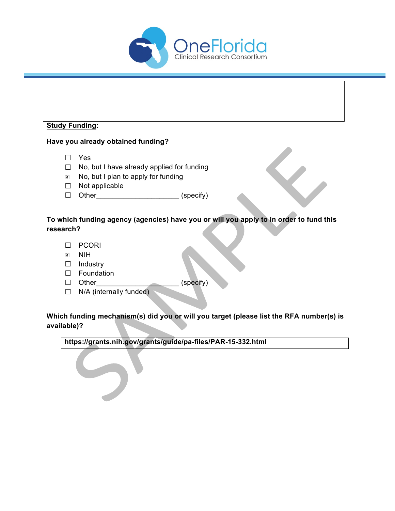

# **Study Funding:**

| Have you already obtained funding? |  |  |
|------------------------------------|--|--|
|------------------------------------|--|--|

- ☐ Yes
- ☐ No, but I have already applied for funding
- $\boxtimes$  No, but I plan to apply for funding
- ☐ Not applicable
- ☐ Other\_\_\_\_\_\_\_\_\_\_\_\_\_\_\_\_\_\_\_\_\_ (specify)

## **To which funding agency (agencies) have you or will you apply to in order to fund this research?**

 $\frac{1}{2}$ 

- ☐ PCORI
- ☒ NIH
- ☐ Industry
- □ Foundation
- ☐ Other\_\_\_\_\_\_\_\_\_\_\_\_\_\_\_\_\_\_\_\_\_ (specify)
- □ N/A (internally funded)

## **Which funding mechanism(s) did you or will you target (please list the RFA number(s) is available)?**

**https://grants.nih.gov/grants/guide/pa-files/PAR-15-332.html**